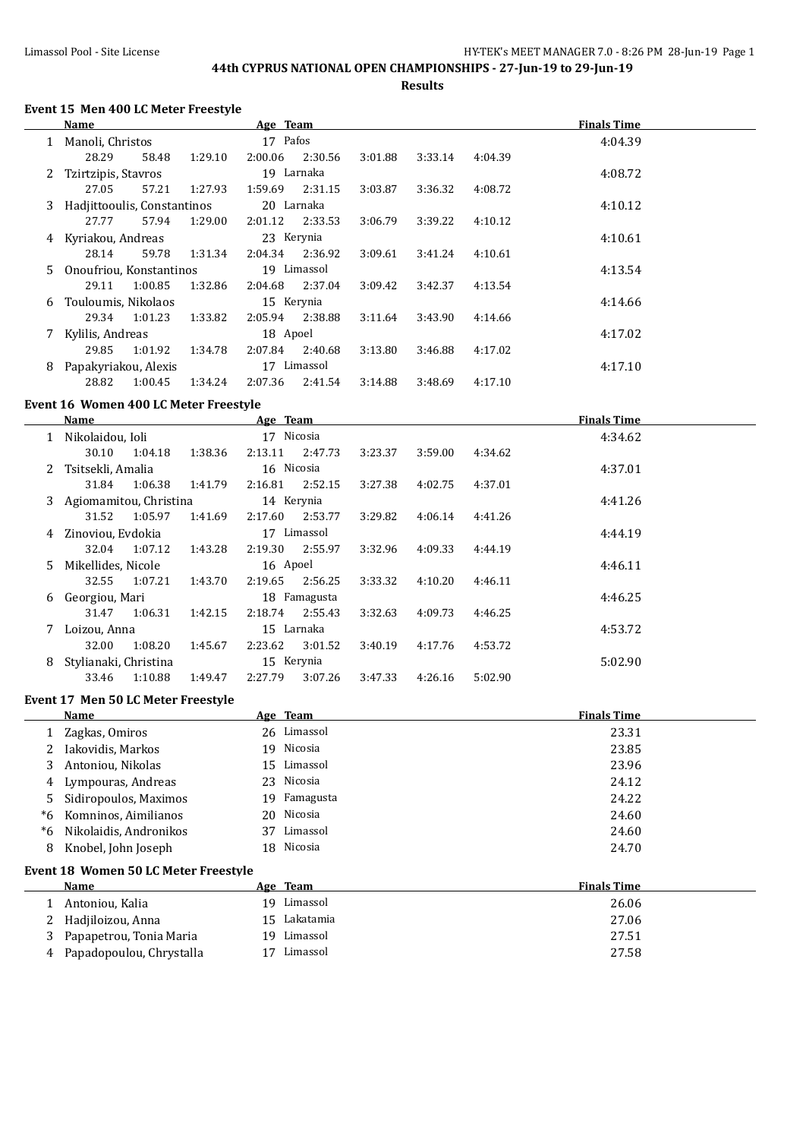**Results**

### **Event 15 Men 400 LC Meter Freestyle**

|    | Name                        |         |         | Age Team   |             |         |         |         | <b>Finals Time</b> |  |
|----|-----------------------------|---------|---------|------------|-------------|---------|---------|---------|--------------------|--|
|    | 1 Manoli, Christos          |         |         | 17 Pafos   |             |         |         |         | 4:04.39            |  |
|    | 28.29                       | 58.48   | 1:29.10 | 2:00.06    | 2:30.56     | 3:01.88 | 3:33.14 | 4:04.39 |                    |  |
| 2. | Tzirtzipis, Stavros         |         |         | 19 Larnaka |             |         |         |         | 4:08.72            |  |
|    | 27.05                       | 57.21   | 1:27.93 | 1:59.69    | 2:31.15     | 3:03.87 | 3:36.32 | 4:08.72 |                    |  |
| 3. | Hadjittooulis, Constantinos |         |         | 20 Larnaka |             |         |         |         | 4:10.12            |  |
|    | 27.77                       | 57.94   | 1:29.00 | 2:01.12    | 2:33.53     | 3:06.79 | 3:39.22 | 4:10.12 |                    |  |
| 4  | Kyriakou, Andreas           |         |         | 23 Kerynia |             |         |         |         | 4:10.61            |  |
|    | 28.14                       | 59.78   | 1:31.34 | 2:04.34    | 2:36.92     | 3:09.61 | 3:41.24 | 4:10.61 |                    |  |
|    | 5 Onoufriou, Konstantinos   |         |         |            | 19 Limassol |         |         |         | 4:13.54            |  |
|    | 29.11                       | 1:00.85 | 1:32.86 | 2:04.68    | 2:37.04     | 3:09.42 | 3:42.37 | 4:13.54 |                    |  |
| 6  | Touloumis, Nikolaos         |         |         | 15 Kerynia |             |         |         |         | 4:14.66            |  |
|    | 29.34                       | 1:01.23 | 1:33.82 | 2:05.94    | 2:38.88     | 3:11.64 | 3:43.90 | 4:14.66 |                    |  |
| 7  | Kylilis, Andreas            |         |         | 18 Apoel   |             |         |         |         | 4:17.02            |  |
|    | 29.85                       | 1:01.92 | 1:34.78 | 2:07.84    | 2:40.68     | 3:13.80 | 3:46.88 | 4:17.02 |                    |  |
| 8  | Papakyriakou, Alexis        |         |         |            | 17 Limassol |         |         |         | 4:17.10            |  |
|    | 28.82                       | 1:00.45 | 1:34.24 | 2:07.36    | 2:41.54     | 3:14.88 | 3:48.69 | 4:17.10 |                    |  |

## **Event 16 Women 400 LC Meter Freestyle**

|   | Name                     |         |         | Age Team   |              |         |         |         | <b>Finals Time</b> |
|---|--------------------------|---------|---------|------------|--------------|---------|---------|---------|--------------------|
|   | Nikolaidou, Ioli         |         |         | 17 Nicosia |              |         |         |         | 4:34.62            |
|   | 30.10                    | 1:04.18 | 1:38.36 | 2:13.11    | 2:47.73      | 3:23.37 | 3:59.00 | 4:34.62 |                    |
|   | 2 Tsitsekli, Amalia      |         |         | 16 Nicosia |              |         |         |         | 4:37.01            |
|   | 31.84                    | 1:06.38 | 1:41.79 | 2:16.81    | 2:52.15      | 3:27.38 | 4:02.75 | 4:37.01 |                    |
|   | 3 Agiomamitou, Christina |         |         | 14 Kerynia |              |         |         |         | 4:41.26            |
|   | 31.52                    | 1:05.97 | 1:41.69 | 2:17.60    | 2:53.77      | 3:29.82 | 4:06.14 | 4:41.26 |                    |
|   | 4 Zinoviou, Evdokia      |         |         |            | 17 Limassol  |         |         |         | 4:44.19            |
|   | 32.04                    | 1:07.12 | 1:43.28 | 2:19.30    | 2:55.97      | 3:32.96 | 4:09.33 | 4:44.19 |                    |
|   | 5 Mikellides, Nicole     |         |         | 16 Apoel   |              |         |         |         | 4:46.11            |
|   | 32.55                    | 1:07.21 | 1:43.70 | 2:19.65    | 2:56.25      | 3:33.32 | 4:10.20 | 4:46.11 |                    |
|   | 6 Georgiou, Mari         |         |         |            | 18 Famagusta |         |         |         | 4:46.25            |
|   | 31.47                    | 1:06.31 | 1:42.15 | 2:18.74    | 2:55.43      | 3:32.63 | 4:09.73 | 4:46.25 |                    |
|   | Loizou, Anna             |         |         | 15 Larnaka |              |         |         |         | 4:53.72            |
|   | 32.00                    | 1:08.20 | 1:45.67 | 2:23.62    | 3:01.52      | 3:40.19 | 4:17.76 | 4:53.72 |                    |
| 8 | Stylianaki, Christina    |         |         | 15 Kerynia |              |         |         |         | 5:02.90            |
|   | 33.46                    | 1:10.88 | 1:49.47 | 2:27.79    | 3:07.26      | 3:47.33 | 4:26.16 | 5:02.90 |                    |

#### **Event 17 Men 50 LC Meter Freestyle**

l.

|    | Name                      |    | Age Team     | <b>Finals Time</b> |
|----|---------------------------|----|--------------|--------------------|
|    | Zagkas, Omiros            |    | 26 Limassol  | 23.31              |
|    | Iakovidis, Markos         |    | 19 Nicosia   | 23.85              |
|    | Antoniou, Nikolas         |    | 15 Limassol  | 23.96              |
| 4  | Lympouras, Andreas        |    | 23 Nicosia   | 24.12              |
| 5. | Sidiropoulos, Maximos     |    | 19 Famagusta | 24.22              |
|    | *6 Komninos, Aimilianos   |    | 20 Nicosia   | 24.60              |
|    | *6 Nikolaidis, Andronikos | 37 | Limassol     | 24.60              |
|    | Knobel, John Joseph       |    | 18 Nicosia   | 24.70              |

### **Event 18 Women 50 LC Meter Freestyle**

| Name                       |    | Age Team     | <b>Finals Time</b> |
|----------------------------|----|--------------|--------------------|
| Antoniou, Kalia            | 19 | Limassol     | 26.06              |
| 2 Hadjiloizou, Anna        |    | 15 Lakatamia | 27.06              |
| 3 Papapetrou, Tonia Maria  |    | 19 Limassol  | 27.51              |
| 4 Papadopoulou, Chrystalla |    | Limassol     | 27.58              |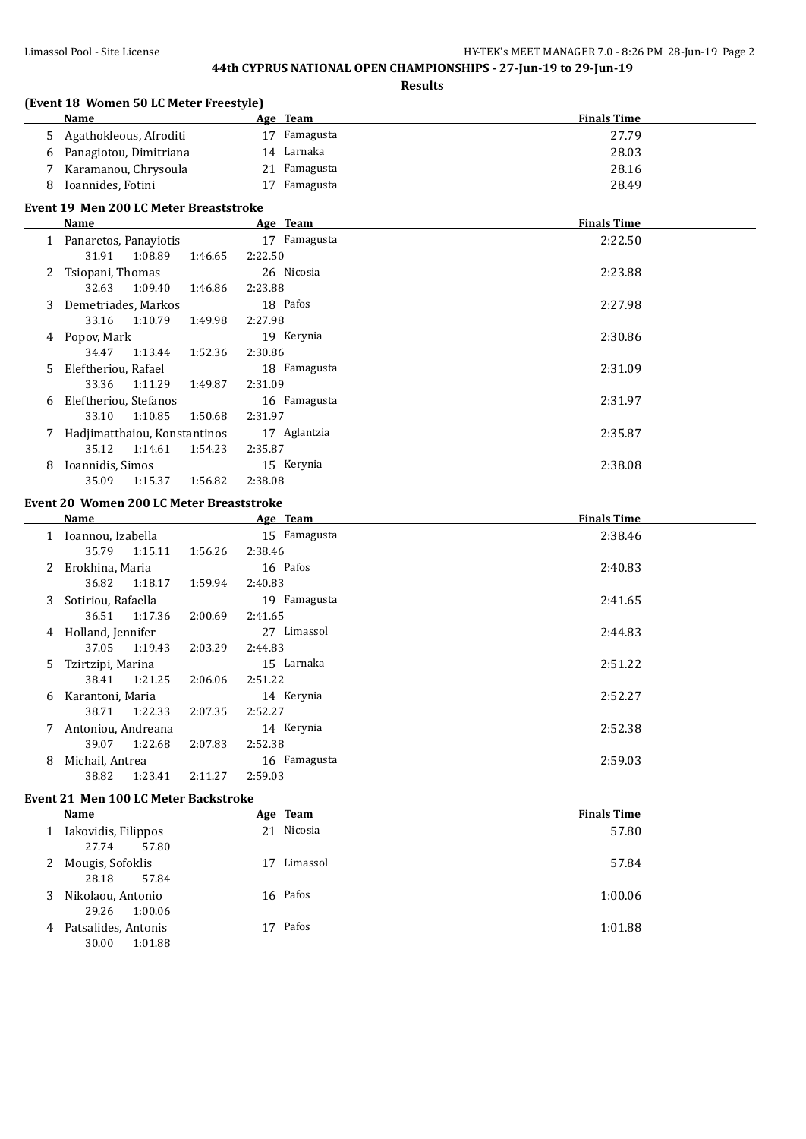**(Event 18 Women 50 LC Meter Freestyle)**

## **44th CYPRUS NATIONAL OPEN CHAMPIONSHIPS - 27-Jun-19 to 29-Jun-19**

**Results**

|    | <b>Name</b>                                 | Age Team     | <b>Finals Time</b> |
|----|---------------------------------------------|--------------|--------------------|
| 5. | Agathokleous, Afroditi                      | 17 Famagusta | 27.79              |
|    | 6 Panagiotou, Dimitriana                    | 14 Larnaka   | 28.03              |
| 7  | Karamanou, Chrysoula                        | 21 Famagusta | 28.16              |
| 8  | Ioannides, Fotini                           | 17 Famagusta | 28.49              |
|    |                                             |              |                    |
|    | Event 19 Men 200 LC Meter Breaststroke      |              |                    |
|    | Name                                        | Age Team     | <b>Finals Time</b> |
|    | 1 Panaretos, Panayiotis                     | 17 Famagusta | 2:22.50            |
|    | 31.91<br>1:08.89<br>1:46.65                 | 2:22.50      |                    |
| 2  | Tsiopani, Thomas                            | 26 Nicosia   | 2:23.88            |
|    | 32.63<br>1:09.40<br>1:46.86                 | 2:23.88      |                    |
| 3  | Demetriades, Markos                         | 18 Pafos     | 2:27.98            |
|    | 33.16<br>1:10.79<br>1:49.98                 | 2:27.98      |                    |
|    | 4 Popov, Mark                               | 19 Kerynia   | 2:30.86            |
|    | 34.47<br>1:13.44<br>1:52.36                 | 2:30.86      |                    |
| 5. | Eleftheriou, Rafael                         | 18 Famagusta | 2:31.09            |
|    | 33.36<br>1:11.29<br>1:49.87                 | 2:31.09      |                    |
| 6  | Eleftheriou, Stefanos                       | 16 Famagusta | 2:31.97            |
|    | 33.10<br>1:10.85<br>1:50.68                 | 2:31.97      |                    |
| 7  | Hadjimatthaiou, Konstantinos                | 17 Aglantzia | 2:35.87            |
|    | 35.12<br>1:14.61<br>1:54.23                 | 2:35.87      |                    |
| 8  | Ioannidis, Simos                            | 15 Kerynia   | 2:38.08            |
|    | 35.09<br>1:15.37<br>1:56.82                 | 2:38.08      |                    |
|    |                                             |              |                    |
|    | Event 20 Women 200 LC Meter Breaststroke    |              |                    |
|    | Name                                        | Age Team     | <b>Finals Time</b> |
|    | 1 Ioannou, Izabella                         | 15 Famagusta | 2:38.46            |
|    | 35.79<br>1:15.11<br>1:56.26                 | 2:38.46      |                    |
| 2  | Erokhina, Maria                             | 16 Pafos     | 2:40.83            |
|    | 36.82<br>1:18.17<br>1:59.94                 | 2:40.83      |                    |
| 3  | Sotiriou, Rafaella                          | 19 Famagusta | 2:41.65            |
|    | 36.51<br>1:17.36<br>2:00.69                 | 2:41.65      |                    |
|    | 4 Holland, Jennifer                         | 27 Limassol  | 2:44.83            |
|    | 37.05<br>1:19.43<br>2:03.29                 | 2:44.83      |                    |
| 5. | Tzirtzipi, Marina                           | 15 Larnaka   | 2:51.22            |
|    | 38.41<br>1:21.25<br>2:06.06                 | 2:51.22      |                    |
| 6  | Karantoni, Maria                            | 14 Kerynia   | 2:52.27            |
|    | 38.71<br>1:22.33<br>2:07.35                 | 2:52.27      |                    |
|    | 7 Antoniou, Andreana                        | 14 Kerynia   | 2:52.38            |
|    | 39.07<br>1:22.68<br>2:07.83                 | 2:52.38      |                    |
| 8  | Michail, Antrea                             | 16 Famagusta | 2:59.03            |
|    | 38.82<br>1:23.41<br>2:11.27                 | 2:59.03      |                    |
|    |                                             |              |                    |
|    | <b>Event 21 Men 100 LC Meter Backstroke</b> |              |                    |
|    | <b>Name</b>                                 | Age Team     | <b>Finals Time</b> |
|    | 1 Iakovidis, Filippos                       | 21 Nicosia   | 57.80              |
|    | 27.74<br>57.80                              |              |                    |
| 2  | Mougis, Sofoklis                            | 17 Limassol  | 57.84              |
|    | 28.18<br>57.84                              |              |                    |

3 Nikolaou, Antonio 16 Pafos 1:00.06

4 Patsalides, Antonis 17 Pafos 1:01.88 30.00 1:01.88

29.26 1:00.06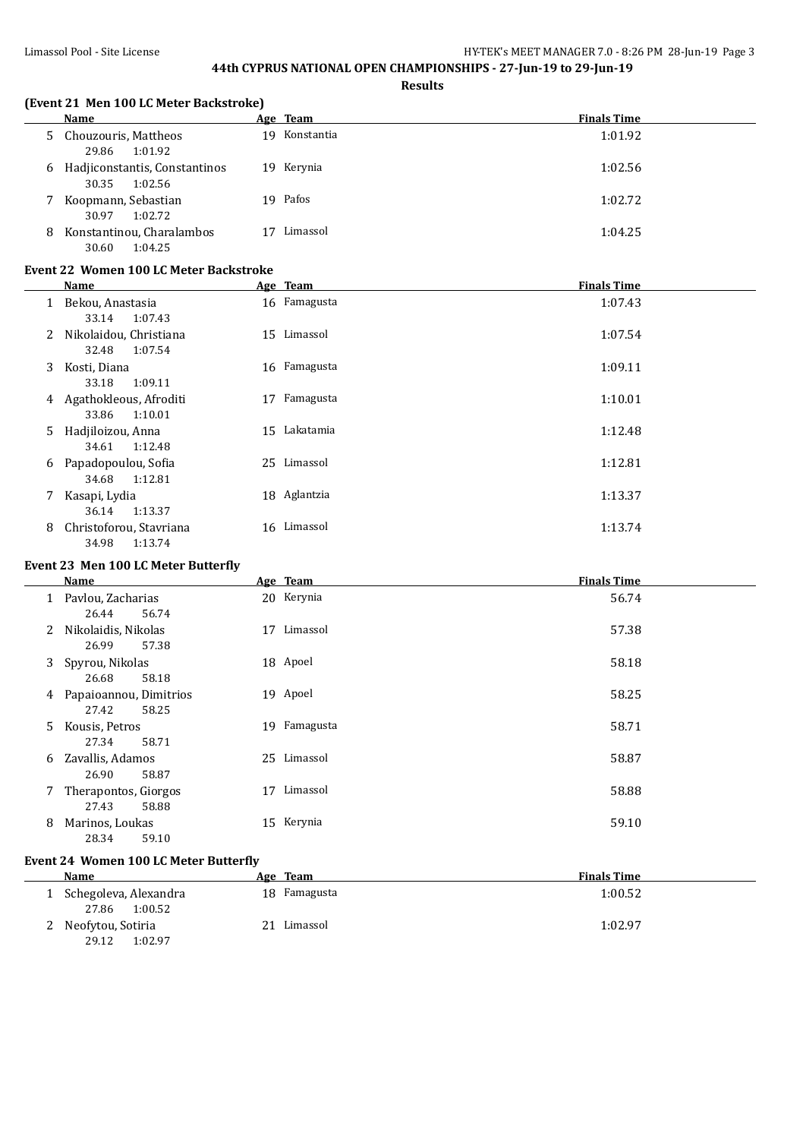**Results**

#### **(Event 21 Men 100 LC Meter Backstroke)**

|   | Name                                              |    | Age Team   | <b>Finals Time</b> |
|---|---------------------------------------------------|----|------------|--------------------|
|   | 5 Chouzouris, Mattheos<br>29.86<br>1:01.92        | 19 | Konstantia | 1:01.92            |
| 6 | Hadjiconstantis, Constantinos<br>30.35<br>1:02.56 |    | 19 Kerynia | 1:02.56            |
|   | Koopmann, Sebastian<br>30.97<br>1:02.72           |    | 19 Pafos   | 1:02.72            |
| 8 | Konstantinou, Charalambos<br>30.60<br>1:04.25     |    | Limassol   | 1:04.25            |

#### **Event 22 Women 100 LC Meter Backstroke**

|    | Name                                        |    | Age Team     | <b>Finals Time</b> |
|----|---------------------------------------------|----|--------------|--------------------|
|    | Bekou, Anastasia<br>1:07.43<br>33.14        |    | 16 Famagusta | 1:07.43            |
| 2  | Nikolaidou, Christiana<br>32.48<br>1:07.54  |    | 15 Limassol  | 1:07.54            |
| 3  | Kosti, Diana<br>33.18<br>1:09.11            |    | 16 Famagusta | 1:09.11            |
| 4  | Agathokleous, Afroditi<br>33.86<br>1:10.01  | 17 | Famagusta    | 1:10.01            |
| 5. | Hadjiloizou, Anna<br>1:12.48<br>34.61       | 15 | Lakatamia    | 1:12.48            |
| 6  | Papadopoulou, Sofia<br>1:12.81<br>34.68     |    | 25 Limassol  | 1:12.81            |
| 7  | Kasapi, Lydia<br>1:13.37<br>36.14           |    | 18 Aglantzia | 1:13.37            |
| 8  | Christoforou, Stavriana<br>34.98<br>1:13.74 |    | 16 Limassol  | 1:13.74            |

#### **Event 23 Men 100 LC Meter Butterfly**

|              | Name                                     |    | Age Team     | <b>Finals Time</b> |
|--------------|------------------------------------------|----|--------------|--------------------|
| $\mathbf{1}$ | Pavlou, Zacharias<br>56.74<br>26.44      |    | 20 Kerynia   | 56.74              |
| 2            | Nikolaidis, Nikolas<br>57.38<br>26.99    | 17 | Limassol     | 57.38              |
| 3            | Spyrou, Nikolas<br>58.18<br>26.68        |    | 18 Apoel     | 58.18              |
| 4            | Papaioannou, Dimitrios<br>27.42<br>58.25 |    | 19 Apoel     | 58.25              |
| 5.           | Kousis, Petros<br>58.71<br>27.34         |    | 19 Famagusta | 58.71              |
| 6            | Zavallis, Adamos<br>58.87<br>26.90       |    | 25 Limassol  | 58.87              |
|              | Therapontos, Giorgos<br>58.88<br>27.43   | 17 | Limassol     | 58.88              |
| 8            | Marinos, Loukas<br>59.10<br>28.34        |    | 15 Kerynia   | 59.10              |

### **Event 24 Women 100 LC Meter Butterfly**

| Name                                      | Age Team       | <b>Finals Time</b> |
|-------------------------------------------|----------------|--------------------|
| Schegoleva, Alexandra<br>1:00.52<br>27.86 | 18 Famagusta   | 1:00.52            |
| 2 Neofytou, Sotiria<br>29.12<br>1:02.97   | Limassol<br>21 | 1:02.97            |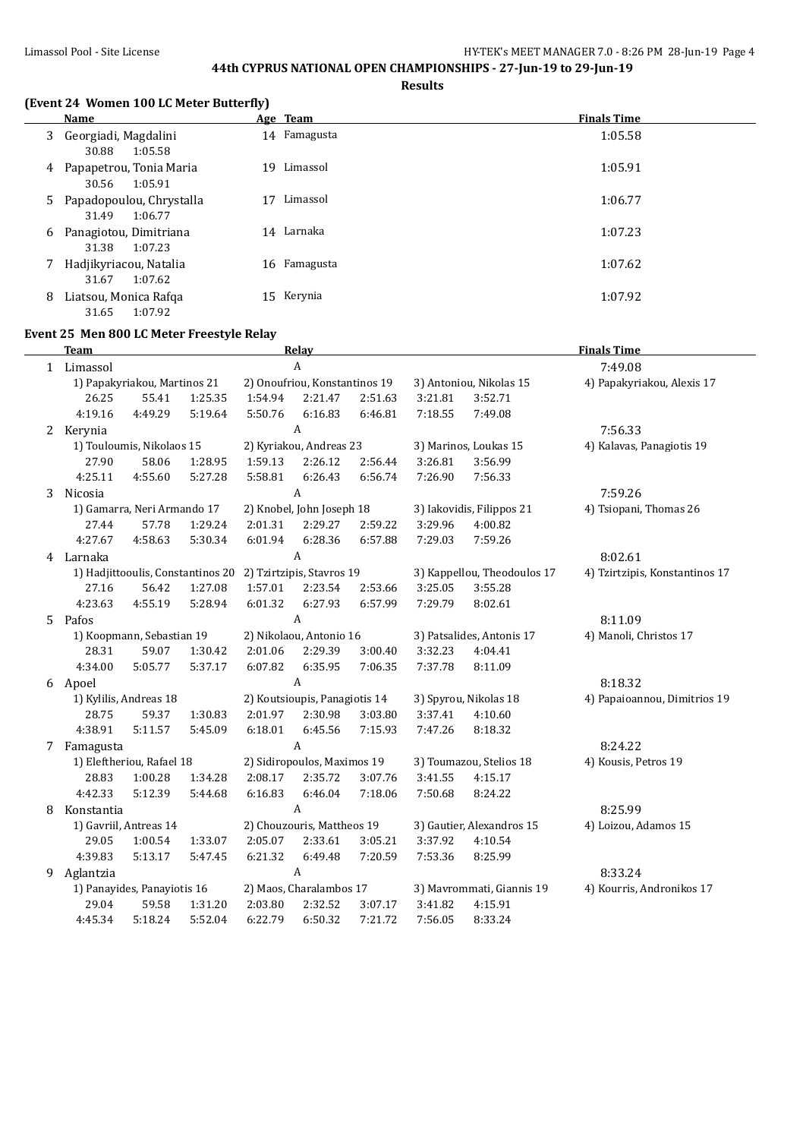**Results**

## **(Event 24 Women 100 LC Meter Butterfly)**

|   | Name                                           | Age Team        | <b>Finals Time</b> |
|---|------------------------------------------------|-----------------|--------------------|
|   | 3 Georgiadi, Magdalini<br>30.88<br>1:05.58     | 14 Famagusta    | 1:05.58            |
| 4 | Papapetrou, Tonia Maria<br>1:05.91<br>30.56    | Limassol<br>19. | 1:05.91            |
|   | 5 Papadopoulou, Chrystalla<br>31.49<br>1:06.77 | Limassol        | 1:06.77            |
| 6 | Panagiotou, Dimitriana<br>31.38<br>1:07.23     | 14 Larnaka      | 1:07.23            |
| 7 | Hadjikyriacou, Natalia<br>1:07.62<br>31.67     | 16 Famagusta    | 1:07.62            |
| 8 | Liatsou, Monica Rafga<br>1:07.92<br>31.65      | 15 Kerynia      | 1:07.92            |

#### **Event 25 Men 800 LC Meter Freestyle Relay**

|   | <b>Team</b> |                              |                                   |         | Relay                         |         |         |                             | <b>Finals Time</b>             |  |
|---|-------------|------------------------------|-----------------------------------|---------|-------------------------------|---------|---------|-----------------------------|--------------------------------|--|
|   | 1 Limassol  | $\mathbf{A}$                 |                                   |         |                               |         | 7:49.08 |                             |                                |  |
|   |             | 1) Papakyriakou, Martinos 21 |                                   |         | 2) Onoufriou, Konstantinos 19 |         |         | 3) Antoniou, Nikolas 15     | 4) Papakyriakou, Alexis 17     |  |
|   | 26.25       | 55.41                        | 1:25.35                           | 1:54.94 | 2:21.47                       | 2:51.63 | 3:21.81 | 3:52.71                     |                                |  |
|   | 4:19.16     | 4:49.29                      | 5:19.64                           | 5:50.76 | 6:16.83                       | 6:46.81 | 7:18.55 | 7:49.08                     |                                |  |
|   | 2 Kerynia   |                              |                                   |         | A                             |         |         |                             | 7:56.33                        |  |
|   |             | 1) Touloumis, Nikolaos 15    |                                   |         | 2) Kyriakou, Andreas 23       |         |         | 3) Marinos, Loukas 15       | 4) Kalavas, Panagiotis 19      |  |
|   | 27.90       | 58.06                        | 1:28.95                           | 1:59.13 | 2:26.12                       | 2:56.44 | 3:26.81 | 3:56.99                     |                                |  |
|   | 4:25.11     | 4:55.60                      | 5:27.28                           | 5:58.81 | 6:26.43                       | 6:56.74 | 7:26.90 | 7:56.33                     |                                |  |
| 3 | Nicosia     |                              |                                   |         | A                             |         |         |                             | 7:59.26                        |  |
|   |             | 1) Gamarra, Neri Armando 17  |                                   |         | 2) Knobel, John Joseph 18     |         |         | 3) Iakovidis, Filippos 21   | 4) Tsiopani, Thomas 26         |  |
|   | 27.44       | 57.78                        | 1:29.24                           | 2:01.31 | 2:29.27                       | 2:59.22 | 3:29.96 | 4:00.82                     |                                |  |
|   | 4:27.67     | 4:58.63                      | 5:30.34                           | 6:01.94 | 6:28.36                       | 6:57.88 | 7:29.03 | 7:59.26                     |                                |  |
| 4 | Larnaka     |                              |                                   |         | A                             |         |         |                             | 8:02.61                        |  |
|   |             |                              | 1) Hadjittooulis, Constantinos 20 |         | 2) Tzirtzipis, Stavros 19     |         |         | 3) Kappellou, Theodoulos 17 | 4) Tzirtzipis, Konstantinos 17 |  |
|   | 27.16       | 56.42                        | 1:27.08                           | 1:57.01 | 2:23.54                       | 2:53.66 | 3:25.05 | 3:55.28                     |                                |  |
|   | 4:23.63     | 4:55.19                      | 5:28.94                           | 6:01.32 | 6:27.93                       | 6:57.99 | 7:29.79 | 8:02.61                     |                                |  |
| 5 | Pafos       |                              |                                   |         | A                             |         |         |                             | 8:11.09                        |  |
|   |             | 1) Koopmann, Sebastian 19    |                                   |         | 2) Nikolaou, Antonio 16       |         |         | 3) Patsalides, Antonis 17   | 4) Manoli, Christos 17         |  |
|   | 28.31       | 59.07                        | 1:30.42                           | 2:01.06 | 2:29.39                       | 3:00.40 | 3:32.23 | 4:04.41                     |                                |  |
|   | 4:34.00     | 5:05.77                      | 5:37.17                           | 6:07.82 | 6:35.95                       | 7:06.35 | 7:37.78 | 8:11.09                     |                                |  |
|   | 6 Apoel     |                              |                                   |         | A                             |         |         |                             | 8:18.32                        |  |
|   |             | 1) Kylilis, Andreas 18       |                                   |         | 2) Koutsioupis, Panagiotis 14 |         |         | 3) Spyrou, Nikolas 18       | 4) Papaioannou, Dimitrios 19   |  |
|   | 28.75       | 59.37                        | 1:30.83                           | 2:01.97 | 2:30.98                       | 3:03.80 | 3:37.41 | 4:10.60                     |                                |  |
|   | 4:38.91     | 5:11.57                      | 5:45.09                           | 6:18.01 | 6:45.56                       | 7:15.93 | 7:47.26 | 8:18.32                     |                                |  |
| 7 | Famagusta   |                              |                                   |         | $\mathbf{A}$                  |         |         |                             | 8:24.22                        |  |
|   |             | 1) Eleftheriou, Rafael 18    |                                   |         | 2) Sidiropoulos, Maximos 19   |         |         | 3) Toumazou, Stelios 18     | 4) Kousis, Petros 19           |  |
|   | 28.83       | 1:00.28                      | 1:34.28                           | 2:08.17 | 2:35.72                       | 3:07.76 | 3:41.55 | 4:15.17                     |                                |  |
|   | 4:42.33     | 5:12.39                      | 5:44.68                           | 6:16.83 | 6:46.04                       | 7:18.06 | 7:50.68 | 8:24.22                     |                                |  |
| 8 | Konstantia  |                              |                                   |         | A                             |         |         |                             | 8:25.99                        |  |
|   |             | 1) Gavriil, Antreas 14       |                                   |         | 2) Chouzouris, Mattheos 19    |         |         | 3) Gautier, Alexandros 15   | 4) Loizou, Adamos 15           |  |
|   | 29.05       | 1:00.54                      | 1:33.07                           | 2:05.07 | 2:33.61                       | 3:05.21 | 3:37.92 | 4:10.54                     |                                |  |
|   | 4:39.83     | 5:13.17                      | 5:47.45                           | 6:21.32 | 6:49.48                       | 7:20.59 | 7:53.36 | 8:25.99                     |                                |  |
| 9 | Aglantzia   |                              |                                   |         | A                             |         |         |                             | 8:33.24                        |  |
|   |             | 1) Panayides, Panayiotis 16  |                                   |         | 2) Maos, Charalambos 17       |         |         | 3) Mavrommati, Giannis 19   | 4) Kourris, Andronikos 17      |  |
|   | 29.04       | 59.58                        | 1:31.20                           | 2:03.80 | 2:32.52                       | 3:07.17 | 3:41.82 | 4:15.91                     |                                |  |
|   | 4:45.34     | 5:18.24                      | 5:52.04                           | 6:22.79 | 6:50.32                       | 7:21.72 | 7:56.05 | 8:33.24                     |                                |  |